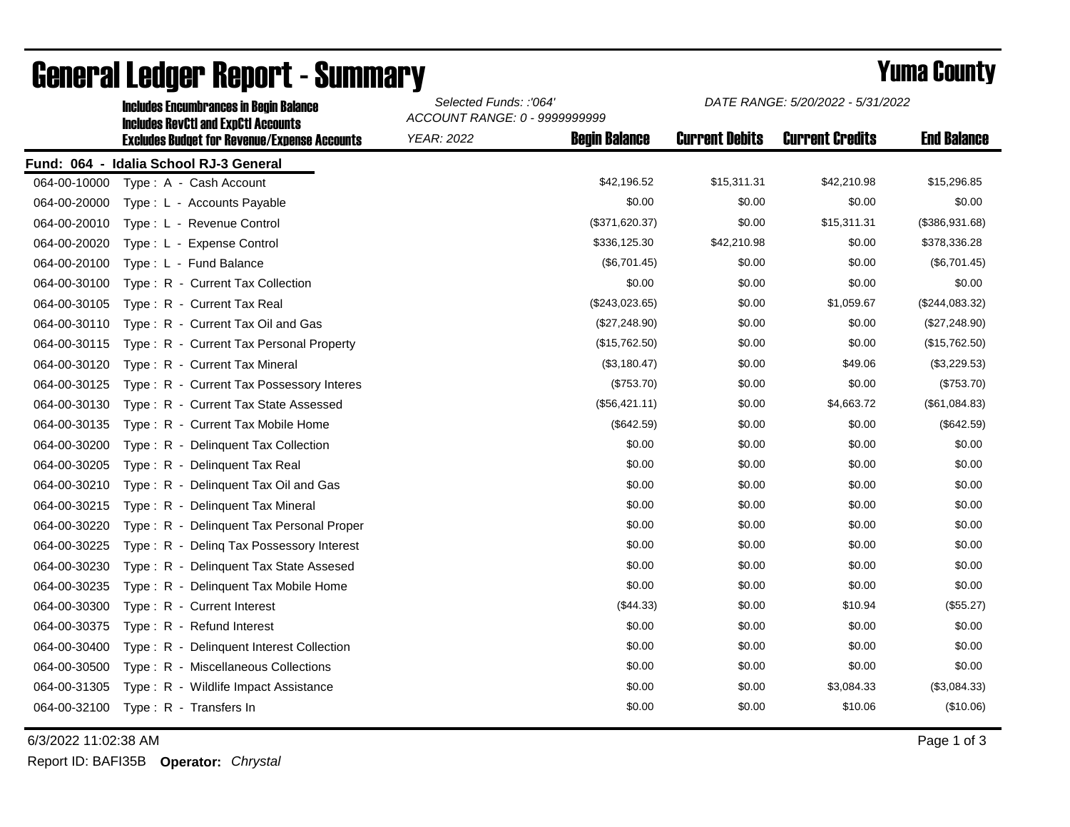|              | <b>Includes Encumbrances in Begin Balance</b><br><b>Includes RevCtI and ExpCtI Accounts</b> | Selected Funds: :'064'<br>ACCOUNT RANGE: 0 - 9999999999 |                      | DATE RANGE: 5/20/2022 - 5/31/2022 |                        |                    |  |
|--------------|---------------------------------------------------------------------------------------------|---------------------------------------------------------|----------------------|-----------------------------------|------------------------|--------------------|--|
|              | <b>Excludes Budget for Revenue/Expense Accounts</b>                                         | <b>YEAR: 2022</b>                                       | <b>Begin Balance</b> | <b>Current Debits</b>             | <b>Current Credits</b> | <b>End Balance</b> |  |
|              | Fund: 064 - Idalia School RJ-3 General                                                      |                                                         |                      |                                   |                        |                    |  |
| 064-00-10000 | Type: A - Cash Account                                                                      |                                                         | \$42,196.52          | \$15,311.31                       | \$42,210.98            | \$15,296.85        |  |
| 064-00-20000 | Type: L - Accounts Payable                                                                  |                                                         | \$0.00               | \$0.00                            | \$0.00                 | \$0.00             |  |
| 064-00-20010 | Type: L - Revenue Control                                                                   |                                                         | (\$371,620.37)       | \$0.00                            | \$15,311.31            | (\$386,931.68)     |  |
| 064-00-20020 | Type: L - Expense Control                                                                   |                                                         | \$336,125.30         | \$42,210.98                       | \$0.00                 | \$378,336.28       |  |
| 064-00-20100 | Type: L - Fund Balance                                                                      |                                                         | (\$6,701.45)         | \$0.00                            | \$0.00                 | (\$6,701.45)       |  |
| 064-00-30100 | Type: R - Current Tax Collection                                                            |                                                         | \$0.00               | \$0.00                            | \$0.00                 | \$0.00             |  |
| 064-00-30105 | Type: R - Current Tax Real                                                                  |                                                         | (\$243,023.65)       | \$0.00                            | \$1,059.67             | (\$244,083.32)     |  |
| 064-00-30110 | Type: R - Current Tax Oil and Gas                                                           |                                                         | (\$27,248.90)        | \$0.00                            | \$0.00                 | (\$27,248.90)      |  |
| 064-00-30115 | Type: R - Current Tax Personal Property                                                     |                                                         | (\$15,762.50)        | \$0.00                            | \$0.00                 | (\$15,762.50)      |  |
| 064-00-30120 | Type: R - Current Tax Mineral                                                               |                                                         | (\$3,180.47)         | \$0.00                            | \$49.06                | (\$3,229.53)       |  |
| 064-00-30125 | Type: R - Current Tax Possessory Interes                                                    |                                                         | (\$753.70)           | \$0.00                            | \$0.00                 | (\$753.70)         |  |
| 064-00-30130 | Type: R - Current Tax State Assessed                                                        |                                                         | (\$56,421.11)        | \$0.00                            | \$4,663.72             | (\$61,084.83)      |  |
| 064-00-30135 | Type: R - Current Tax Mobile Home                                                           |                                                         | (\$642.59)           | \$0.00                            | \$0.00                 | (\$642.59)         |  |
| 064-00-30200 | Type: R - Delinguent Tax Collection                                                         |                                                         | \$0.00               | \$0.00                            | \$0.00                 | \$0.00             |  |
| 064-00-30205 | Type: R - Delinquent Tax Real                                                               |                                                         | \$0.00               | \$0.00                            | \$0.00                 | \$0.00             |  |
| 064-00-30210 | Type: R - Delinquent Tax Oil and Gas                                                        |                                                         | \$0.00               | \$0.00                            | \$0.00                 | \$0.00             |  |
| 064-00-30215 | Type: R - Delinquent Tax Mineral                                                            |                                                         | \$0.00               | \$0.00                            | \$0.00                 | \$0.00             |  |
| 064-00-30220 | Type: R - Delinguent Tax Personal Proper                                                    |                                                         | \$0.00               | \$0.00                            | \$0.00                 | \$0.00             |  |
| 064-00-30225 | Type: R - Deling Tax Possessory Interest                                                    |                                                         | \$0.00               | \$0.00                            | \$0.00                 | \$0.00             |  |
| 064-00-30230 | Type: R - Delinquent Tax State Assesed                                                      |                                                         | \$0.00               | \$0.00                            | \$0.00                 | \$0.00             |  |
| 064-00-30235 | Type: R - Delinquent Tax Mobile Home                                                        |                                                         | \$0.00               | \$0.00                            | \$0.00                 | \$0.00             |  |
| 064-00-30300 | Type: R - Current Interest                                                                  |                                                         | (\$44.33)            | \$0.00                            | \$10.94                | (\$55.27)          |  |
| 064-00-30375 | Type: R - Refund Interest                                                                   |                                                         | \$0.00               | \$0.00                            | \$0.00                 | \$0.00             |  |
| 064-00-30400 | Type: R - Delinquent Interest Collection                                                    |                                                         | \$0.00               | \$0.00                            | \$0.00                 | \$0.00             |  |
| 064-00-30500 | Type: R - Miscellaneous Collections                                                         |                                                         | \$0.00               | \$0.00                            | \$0.00                 | \$0.00             |  |
| 064-00-31305 | Type: R - Wildlife Impact Assistance                                                        |                                                         | \$0.00               | \$0.00                            | \$3,084.33             | (\$3,084.33)       |  |
| 064-00-32100 | Type: R - Transfers In                                                                      |                                                         | \$0.00               | \$0.00                            | \$10.06                | (\$10.06)          |  |

# General Ledger Report - Summary **Example 2018** Yuma County

6/3/2022 11:02:38 AM Page 1 of 3

Report ID: BAFI35B **Operator:** *Chrystal*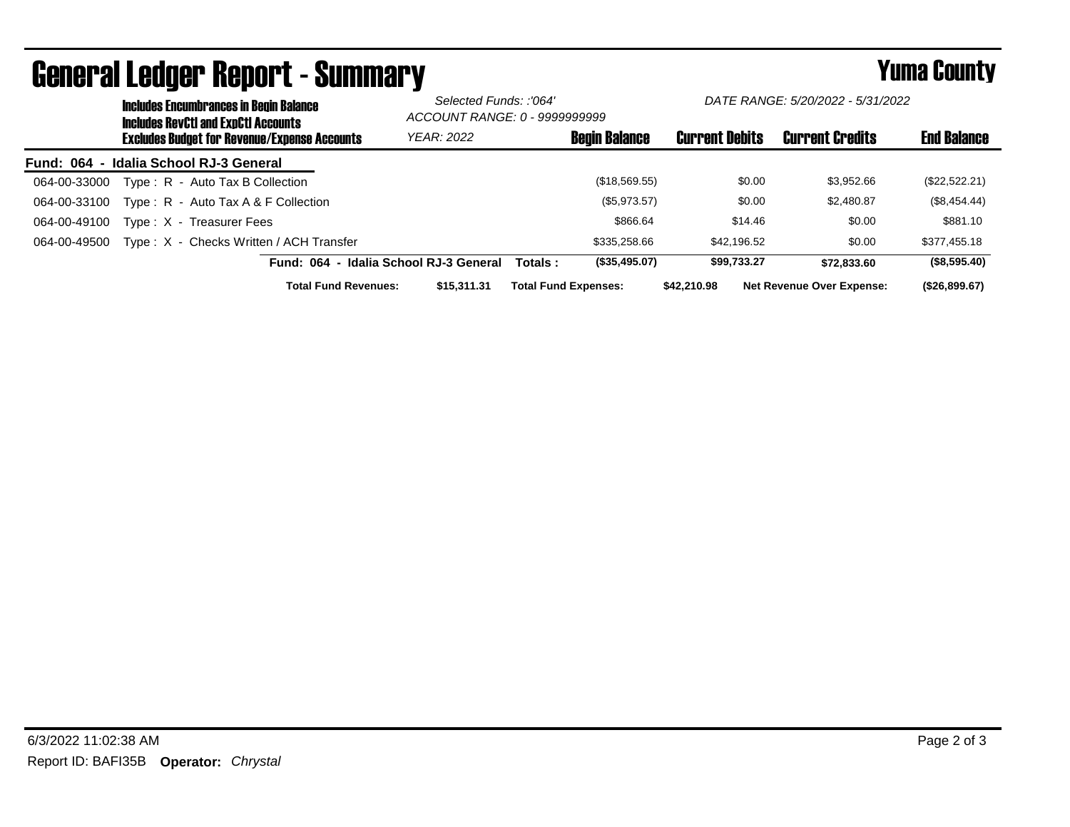|                                        | <b>Includes Encumbrances in Begin Balance</b><br><b>Includes RevCtI and ExpCtI Accounts</b> |                                        | Selected Funds: :'064'<br>ACCOUNT RANGE: 0 - 9999999999 |                             | DATE RANGE: 5/20/2022 - 5/31/2022 |                       |  |                                  |                    |
|----------------------------------------|---------------------------------------------------------------------------------------------|----------------------------------------|---------------------------------------------------------|-----------------------------|-----------------------------------|-----------------------|--|----------------------------------|--------------------|
|                                        | <b>Excludes Budget for Revenue/Expense Accounts</b>                                         |                                        | <b>YEAR: 2022</b>                                       |                             | <b>Begin Balance</b>              | <b>Current Debits</b> |  | <b>Current Credits</b>           | <b>End Balance</b> |
| Fund: 064 - Idalia School RJ-3 General |                                                                                             |                                        |                                                         |                             |                                   |                       |  |                                  |                    |
| 064-00-33000                           | Type: R - Auto Tax B Collection                                                             |                                        |                                                         |                             | (\$18,569.55)                     | \$0.00                |  | \$3.952.66                       | (\$22,522.21)      |
| 064-00-33100                           | Type: $R -$ Auto Tax A & F Collection                                                       |                                        |                                                         |                             | (\$5,973.57)                      | \$0.00                |  | \$2,480.87                       | (\$8,454.44)       |
| 064-00-49100                           | Type: X - Treasurer Fees                                                                    |                                        |                                                         |                             | \$866.64                          | \$14.46               |  | \$0.00                           | \$881.10           |
| 064-00-49500                           | Type: X - Checks Written / ACH Transfer                                                     |                                        |                                                         |                             | \$335,258,66                      | \$42.196.52           |  | \$0.00                           | \$377,455.18       |
|                                        |                                                                                             | Fund: 064 - Idalia School RJ-3 General |                                                         | Totals :                    | (\$35,495.07)                     | \$99.733.27           |  | \$72,833,60                      | (\$8,595.40)       |
|                                        |                                                                                             | <b>Total Fund Revenues:</b>            | \$15,311,31                                             | <b>Total Fund Expenses:</b> |                                   | \$42,210.98           |  | <b>Net Revenue Over Expense:</b> | (\$26,899.67)      |

# General Ledger Report - Summary **Example 2018** Yuma County